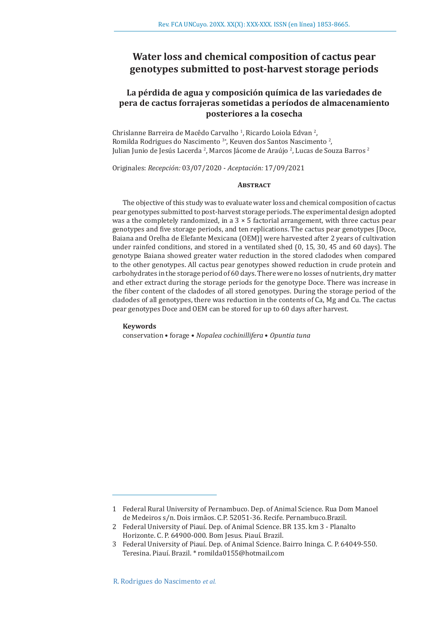# **Water loss and chemical composition of cactus pear genotypes submitted to post-harvest storage periods**

## **La pérdida de agua y composición química de las variedades de pera de cactus forrajeras sometidas a períodos de almacenamiento posteriores a la cosecha**

Chrislanne Barreira de Macêdo Carvalho<sup>1</sup>, Ricardo Loiola Edvan<sup>2</sup>, Romilda Rodrigues do Nascimento<sup>3</sup><sup>\*</sup>, Keuven dos Santos Nascimento<sup>2</sup>, Julian Junio de Jesús Lacerda <del>?</del>, Marcos Jácome de Araújo <del>?</del>, Lucas de Souza Barros <del>?</del>

Originales: *Recepción:* 03/07/2020 - *Aceptación:* 17/09/2021

#### **ABSTRACT**

The objective of this study was to evaluate water loss and chemical composition of cactus pear genotypes submitted to post-harvest storage periods. The experimental design adopted was a the completely randomized, in a  $3 \times 5$  factorial arrangement, with three cactus pear genotypes and five storage periods, and ten replications. The cactus pear genotypes [Doce, Baiana and Orelha de Elefante Mexicana (OEM)] were harvested after 2 years of cultivation under rainfed conditions, and stored in a ventilated shed (0, 15, 30, 45 and 60 days). The genotype Baiana showed greater water reduction in the stored cladodes when compared to the other genotypes. All cactus pear genotypes showed reduction in crude protein and carbohydrates in the storage period of 60 days. There were no losses of nutrients, dry matter and ether extract during the storage periods for the genotype Doce. There was increase in the fiber content of the cladodes of all stored genotypes. During the storage period of the cladodes of all genotypes, there was reduction in the contents of Ca, Mg and Cu. The cactus pear genotypes Doce and OEM can be stored for up to 60 days after harvest.

#### **Keywords**

conservation • forage • *Nopalea cochinillifera* • *Opuntia tuna*

<sup>1</sup> Federal Rural University of Pernambuco. Dep. of Animal Science. Rua Dom Manoel de Medeiros s/n. Dois irmãos. C.P. 52051-36. Recife. Pernambuco.Brazil.

<sup>2</sup> Federal University of Piauí. Dep. of Animal Science. BR 135. km 3 - Planalto Horizonte. C. P. 64900-000. Bom Jesus. Piauí. Brazil.

<sup>3</sup> Federal University of Piauí. Dep. of Animal Science. Bairro Ininga. C. P. 64049-550. Teresina. Piauí. Brazil. \* romilda0155@hotmail.com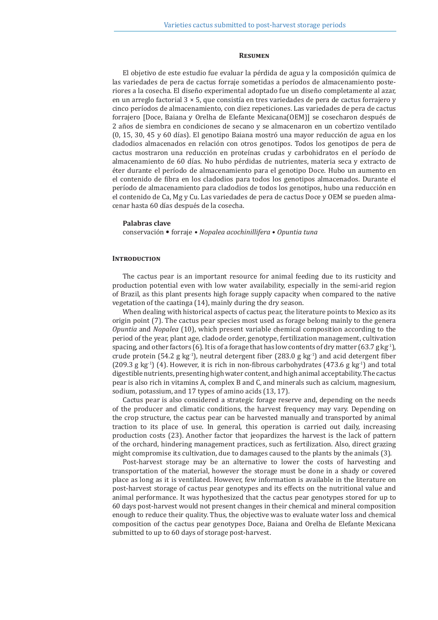#### **Resumen**

El objetivo de este estudio fue evaluar la pérdida de agua y la composición química de las variedades de pera de cactus forraje sometidas a períodos de almacenamiento posteriores a la cosecha. El diseño experimental adoptado fue un diseño completamente al azar, en un arreglo factorial  $3 \times 5$ , que consistía en tres variedades de pera de cactus forrajero y cinco períodos de almacenamiento, con diez repeticiones. Las variedades de pera de cactus forrajero [Doce, Baiana y Orelha de Elefante Mexicana(OEM)] se cosecharon después de 2 años de siembra en condiciones de secano y se almacenaron en un cobertizo ventilado (0, 15, 30, 45 y 60 días). El genotipo Baiana mostró una mayor reducción de agua en los cladodios almacenados en relación con otros genotipos. Todos los genotipos de pera de cactus mostraron una reducción en proteínas crudas y carbohidratos en el período de almacenamiento de 60 días. No hubo pérdidas de nutrientes, materia seca y extracto de éter durante el período de almacenamiento para el genotipo Doce. Hubo un aumento en el contenido de fibra en los cladodios para todos los genotipos almacenados. Durante el período de almacenamiento para cladodios de todos los genotipos, hubo una reducción en el contenido de Ca, Mg y Cu. Las variedades de pera de cactus Doce y OEM se pueden almacenar hasta 60 días después de la cosecha.

#### **Palabras clave**

conservación • forraje • *Nopalea acochinillifera* • *Opuntia tuna*

#### **INTRODUCTION**

The cactus pear is an important resource for animal feeding due to its rusticity and production potential even with low water availability, especially in the semi-arid region of Brazil, as this plant presents high forage supply capacity when compared to the native vegetation of the caatinga (14), mainly during the dry season.

When dealing with historical aspects of cactus pear, the literature points to Mexico as its origin point (7). The cactus pear species most used as forage belong mainly to the genera *Opuntia* and *Nopalea* (10), which present variable chemical composition according to the period of the year, plant age, cladode order, genotype, fertilization management, cultivation spacing, and other factors (6). It is of a forage that has low contents of dry matter (63.7 g kg<sup>-1</sup>), crude protein (54.2 g kg<sup>-1</sup>), neutral detergent fiber (283.0 g kg<sup>-1</sup>) and acid detergent fiber (209.3 g kg<sup>-1</sup>) (4). However, it is rich in non-fibrous carbohydrates (473.6 g kg<sup>-1</sup>) and total digestible nutrients, presenting high water content, and high animal acceptability. The cactus pear is also rich in vitamins A, complex B and C, and minerals such as calcium, magnesium, sodium, potassium, and 17 types of amino acids (13, 17).

Cactus pear is also considered a strategic forage reserve and, depending on the needs of the producer and climatic conditions, the harvest frequency may vary. Depending on the crop structure, the cactus pear can be harvested manually and transported by animal traction to its place of use. In general, this operation is carried out daily, increasing production costs (23). Another factor that jeopardizes the harvest is the lack of pattern of the orchard, hindering management practices, such as fertilization. Also, direct grazing might compromise its cultivation, due to damages caused to the plants by the animals (3).

Post-harvest storage may be an alternative to lower the costs of harvesting and transportation of the material, however the storage must be done in a shady or covered place as long as it is ventilated. However, few information is available in the literature on post-harvest storage of cactus pear genotypes and its effects on the nutritional value and animal performance. It was hypothesized that the cactus pear genotypes stored for up to 60 days post-harvest would not present changes in their chemical and mineral composition enough to reduce their quality. Thus, the objective was to evaluate water loss and chemical composition of the cactus pear genotypes Doce, Baiana and Orelha de Elefante Mexicana submitted to up to 60 days of storage post-harvest.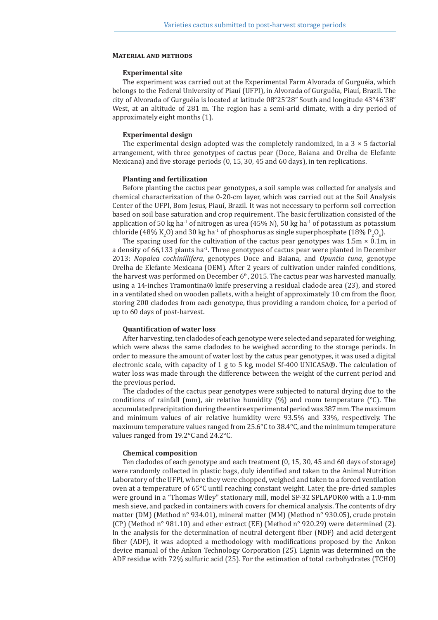#### **Material and methods**

#### **Experimental site**

The experiment was carried out at the Experimental Farm Alvorada of Gurguéia, which belongs to the Federal University of Piauí (UFPI), in Alvorada of Gurguéia, Piauí, Brazil. The city of Alvorada of Gurguéia is located at latitude 08°25'28" South and longitude 43°46'38" West, at an altitude of 281 m. The region has a semi-arid climate, with a dry period of approximately eight months (1).

#### **Experimental design**

The experimental design adopted was the completely randomized, in a  $3 \times 5$  factorial arrangement, with three genotypes of cactus pear (Doce, Baiana and Orelha de Elefante Mexicana) and five storage periods (0, 15, 30, 45 and 60 days), in ten replications.

#### **Planting and fertilization**

Before planting the cactus pear genotypes, a soil sample was collected for analysis and chemical characterization of the 0-20-cm layer, which was carried out at the Soil Analysis Center of the UFPI, Bom Jesus, Piauí, Brazil. It was not necessary to perform soil correction based on soil base saturation and crop requirement. The basic fertilization consisted of the application of 50 kg ha<sup>-1</sup> of nitrogen as urea (45% N), 50 kg ha<sup>-1</sup> of potassium as potassium chloride (48% K<sub>2</sub>O) and 30 kg ha<sup>-1</sup> of phosphorus as single superphosphate (18% P<sub>2</sub>O<sub>5</sub>).

The spacing used for the cultivation of the cactus pear genotypes was  $1.5m \times 0.1m$ , in a density of  $66,133$  plants ha<sup>-1</sup>. Three genotypes of cactus pear were planted in December 2013: *Nopalea cochinillifera*, genotypes Doce and Baiana, and *Opuntia tuna*, genotype Orelha de Elefante Mexicana (OEM). After 2 years of cultivation under rainfed conditions, the harvest was performed on December  $6<sup>th</sup>$ , 2015. The cactus pear was harvested manually, using a 14-inches Tramontina® knife preserving a residual cladode area (23), and stored in a ventilated shed on wooden pallets, with a height of approximately 10 cm from the floor, storing 200 cladodes from each genotype, thus providing a random choice, for a period of up to 60 days of post-harvest.

#### **Quantification of water loss**

After harvesting, ten cladodes of each genotype were selected and separated for weighing, which were alwas the same cladodes to be weighed according to the storage periods. In order to measure the amount of water lost by the catus pear genotypes, it was used a digital electronic scale, with capacity of 1 g to 5 kg, model Sf-400 UNICASA®. The calculation of water loss was made through the difference between the weight of the current period and the previous period.

The cladodes of the cactus pear genotypes were subjected to natural drying due to the conditions of rainfall (mm), air relative humidity  $(\%)$  and room temperature  $({}^{\circ}C)$ . The accumulated precipitation during the entire experimental period was 387 mm. The maximum and minimum values of air relative humidity were 93.5% and 33%, respectively. The maximum temperature values ranged from 25.6°C to 38.4°C, and the minimum temperature values ranged from 19.2°C and 24.2°C.

#### **Chemical composition**

Ten cladodes of each genotype and each treatment (0, 15, 30, 45 and 60 days of storage) were randomly collected in plastic bags, duly identified and taken to the Animal Nutrition Laboratory of the UFPI, where they were chopped, weighed and taken to a forced ventilation oven at a temperature of 65°C until reaching constant weight. Later, the pre-dried samples were ground in a "Thomas Wiley" stationary mill, model SP-32 SPLAPOR® with a 1.0-mm mesh sieve, and packed in containers with covers for chemical analysis. The contents of dry matter (DM) (Method n° 934.01), mineral matter (MM) (Method n° 930.05), crude protein (CP) (Method  $n^{\circ}$  981.10) and ether extract (EE) (Method  $n^{\circ}$  920.29) were determined (2). In the analysis for the determination of neutral detergent fiber (NDF) and acid detergent fiber (ADF), it was adopted a methodology with modifications proposed by the Ankon device manual of the Ankon Technology Corporation (25). Lignin was determined on the ADF residue with 72% sulfuric acid (25). For the estimation of total carbohydrates (TCHO)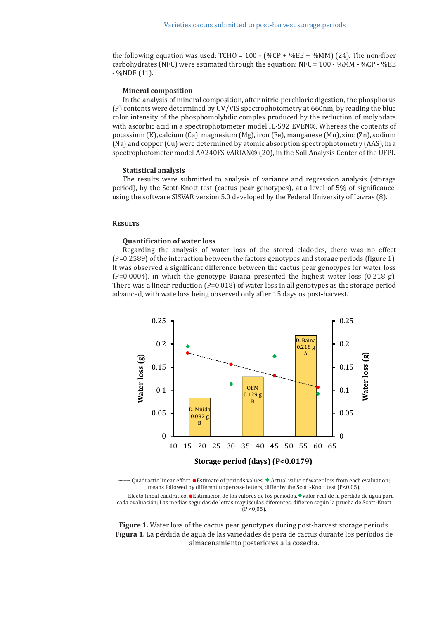the following equation was used:  $TCHO = 100 - (\%CP + \%EE + \%MM)$  (24). The non-fiber carbohydrates (NFC) were estimated through the equation:  $NFC = 100 - %MM - %CP - %EE$ - %NDF (11).

#### **Mineral composition**

In the analysis of mineral composition, after nitric-perchloric digestion, the phosphorus (P) contents were determined by UV/VIS spectrophotometry at 660nm, by reading the blue color intensity of the phosphomolybdic complex produced by the reduction of molybdate with ascorbic acid in a spectrophotometer model IL-592 EVEN®. Whereas the contents of potassium (K), calcium (Ca), magnesium (Mg), iron (Fe), manganese (Mn), zinc (Zn), sodium (Na) and copper (Cu) were determined by atomic absorption spectrophotometry (AAS), in a spectrophotometer model AA240FS VARIAN® (20), in the Soil Analysis Center of the UFPI.

#### **Statistical analysis**

The results were submitted to analysis of variance and regression analysis (storage period), by the Scott-Knott test (cactus pear genotypes), at a level of 5% of significance, using the software SISVAR version 5.0 developed by the Federal University of Lavras (8).

#### **Results**

#### **Quantification of water loss**

Regarding the analysis of water loss of the stored cladodes, there was no effect (P=0.2589) of the interaction between the factors genotypes and storage periods (figure 1). It was observed a significant difference between the cactus pear genotypes for water loss  $(P=0.0004)$ , in which the genotype Baiana presented the highest water loss  $(0.218 \text{ g})$ . There was a linear reduction  $(P=0.018)$  of water loss in all genotypes as the storage period advanced, with wate loss being observed only after 15 days os post-harvest.



-------- Quadractic linear effect. ● Estimate of periods values. ◆ Actual value of water loss from each evaluation; means followed by different uppercase letters, differ by the Scott-Knott test (P<0.05).

-------- Efecto lineal cuadrático. ● Estimación de los valores de los períodos. ◆ Valor real de la pérdida de agua para cada evaluación; Las medias seguidas de letras mayúsculas diferentes, difieren según la prueba de Scott-Knott  $(P < 0.05)$ .

**Figure 1.** Water loss of the cactus pear genotypes during post-harvest storage periods. **Figura 1.** La pérdida de agua de las variedades de pera de cactus durante los períodos de almacenamiento posteriores a la cosecha.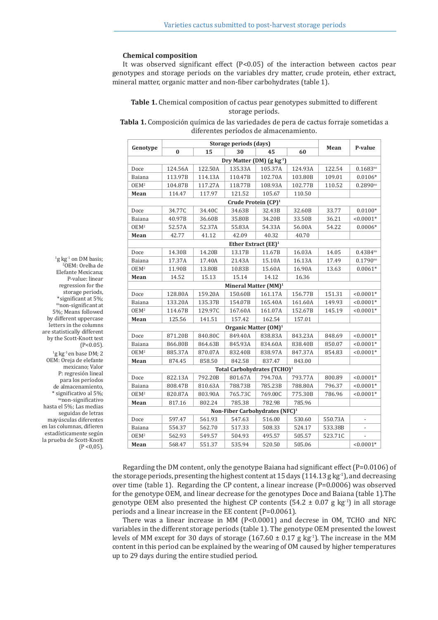#### **Chemical composition**

It was observed significant effect  $(P<0.05)$  of the interaction between cactos pear genotypes and storage periods on the variables dry matter, crude protein, ether extract, mineral matter, organic matter and non-fiber carbohydrates (table 1).

## **Table 1.** Chemical composition of cactus pear genotypes submitted to different storage periods.

**Tabla 1.** Composición química de las variedades de pera de cactus forraje sometidas a diferentes períodos de almacenamiento.

| Genotype                                   |          | Storage periods (days) |                                  |         |         |         |                          |  |  |
|--------------------------------------------|----------|------------------------|----------------------------------|---------|---------|---------|--------------------------|--|--|
|                                            | $\bf{0}$ | 15                     | 30                               | 45      | 60      | Mean    | P-value                  |  |  |
| Dry Matter (DM) (g kg <sup>-1</sup> )      |          |                        |                                  |         |         |         |                          |  |  |
| Doce                                       | 124.56A  | 122.50A                | 135.33A                          | 105.37A | 124.93A | 122.54  | $0.1683^{ns}$            |  |  |
| Baiana                                     | 113.97B  | 114.13A                | 110.47B                          | 102.70A | 103.80B | 109.01  | $0.0106*$                |  |  |
| OEM <sup>2</sup>                           | 104.87B  | 117.27A                | 118.77B                          | 108.93A | 102.77B | 110.52  | $0.2890^{ns}$            |  |  |
| Mean                                       | 114.47   | 117.97                 | 121.52                           | 105.67  | 110.50  |         |                          |  |  |
| Crude Protein $(CP)^1$                     |          |                        |                                  |         |         |         |                          |  |  |
| Doce                                       | 34.77C   | 34.40C                 | 34.63B                           | 32.43B  | 32.60B  | 33.77   | $0.0100*$                |  |  |
| Baiana                                     | 40.97B   | 36.60B                 | 35.80B                           | 34.20B  | 33.50B  | 36.21   | $< 0.0001*$              |  |  |
| OEM <sup>2</sup>                           | 52.57A   | 52.37A                 | 55.83A                           | 54.33A  | 56.00A  | 54.22   | $0.0006*$                |  |  |
| Mean                                       | 42.77    | 41.12                  | 42.09                            | 40.32   | 40.70   |         |                          |  |  |
| Ether Extract (EE) <sup>1</sup>            |          |                        |                                  |         |         |         |                          |  |  |
| Doce                                       | 14.30B   | 14.20B                 | 13.17B                           | 11.67B  | 16.03A  | 14.05   | $0.4384^{ns}$            |  |  |
| Baiana                                     | 17.37A   | 17.40A                 | 21.43A                           | 15.10A  | 16.13A  | 17.49   | $0.1790^{ns}$            |  |  |
| OEM <sup>2</sup>                           | 11.90B   | 13.80B                 | 10.83B                           | 15.60A  | 16.90A  | 13.63   | $0.0061*$                |  |  |
| Mean                                       | 14.52    | 15.13                  | 15.14                            | 14.12   | 16.36   |         |                          |  |  |
|                                            |          |                        | Mineral Matter (MM) <sup>1</sup> |         |         |         |                          |  |  |
| Doce                                       | 128.80A  | 159.20A                | 150.60B                          | 161.17A | 156.77B | 151.31  | $< 0.0001*$              |  |  |
| Baiana                                     | 133.20A  | 135.37B                | 154.07B                          | 165.40A | 161.60A | 149.93  | $< 0.0001*$              |  |  |
| $OEM^2$                                    | 114.67B  | 129.97C                | 167.60A                          | 161.07A | 152.67B | 145.19  | $< 0.0001*$              |  |  |
| Mean                                       | 125.56   | 141.51                 | 157.42                           | 162.54  | 157.01  |         |                          |  |  |
|                                            |          |                        | Organic Matter $(OM)^1$          |         |         |         |                          |  |  |
| Doce                                       | 871.20B  | 840.80C                | 849.40A                          | 838.83A | 843.23A | 848.69  | $< 0.0001*$              |  |  |
| Baiana                                     | 866.80B  | 864.63B                | 845.93A                          | 834.60A | 838.40B | 850.07  | $< 0.0001*$              |  |  |
| $OEM^2$                                    | 885.37A  | 870.07A                | 832.40B                          | 838.97A | 847.37A | 854.83  | $< 0.0001*$              |  |  |
| Mean                                       | 874.45   | 858.50                 | 842.58                           | 837.47  | 843.00  |         |                          |  |  |
| Total Carbohydrates (TCHO) <sup>1</sup>    |          |                        |                                  |         |         |         |                          |  |  |
| Doce                                       | 822.13A  | 792.20B                | 801.67A                          | 794.70A | 793.77A | 800.89  | $< 0.0001*$              |  |  |
| Baiana                                     | 808.47B  | 810.63A                | 788.73B                          | 785.23B | 788.80A | 796.37  | $< 0.0001*$              |  |  |
| OEM <sup>2</sup>                           | 820.87A  | 803.90A                | 765.73C                          | 769.00C | 775.30B | 786.96  | $< 0.0001*$              |  |  |
| Mean                                       | 817.16   | 802.24                 | 785.38                           | 782.98  | 785.96  |         |                          |  |  |
| Non-Fiber Carbohydrates (NFC) <sup>1</sup> |          |                        |                                  |         |         |         |                          |  |  |
| Doce                                       | 597.47   | 561.93                 | 547.63                           | 516.00  | 530.60  | 550.73A | $\overline{\phantom{a}}$ |  |  |
| Baiana                                     | 554.37   | 562.70                 | 517.33                           | 508.33  | 524.17  | 533.38B | $\overline{\phantom{a}}$ |  |  |
| $0EM^2$                                    | 562.93   | 549.57                 | 504.93                           | 495.57  | 505.57  | 523.71C |                          |  |  |
| Mean                                       | 568.47   | 551.37                 | 535.94                           | 520.50  | 505.06  |         | $< 0.0001*$              |  |  |

<sup>1</sup>g kg<sup>-1</sup> on DM basis; 2 OEM: Orelha de Elefante Mexicana; P-value: linear regression for the storage periods, \*significant at 5%; nsnon-significant at 5%; Means followed by different uppercase letters in the columns are statistically different by the Scott-Knott test  $(P<0.05)$ .

 $^{1}$ g kg $^{1}$  en base DM; 2 OEM: Oreja de elefante mexicano; Valor P: regresión lineal para los períodos de almacenamiento, \* significativo al 5%; <sup>ns</sup>non-significativo hasta el 5%; Las medias seguidas de letras mayúsculas diferentes en las columnas, difieren estadísticamente según la prueba de Scott-Knott  $(P < 0.05)$ .

> Regarding the DM content, only the genotype Baiana had significant effect (P=0.0106) of the storage periods, presenting the highest content at 15 days (114.13 g kg<sup>-1</sup>), and decreasing over time (table 1). Regarding the CP content, a linear increase  $(P=0.0006)$  was observed for the genotype OEM, and linear decrease for the genotypes Doce and Baiana (table 1).The genotype OEM also presented the highest CP contents (54.2  $\pm$  0.07 g kg<sup>-1</sup>) in all storage periods and a linear increase in the EE content (P=0.0061).

> There was a linear increase in MM  $(P<0.0001)$  and decrese in OM, TCHO and NFC variables in the different storage periods (table 1). The genotype OEM presented the lowest levels of MM except for 30 days of storage (167.60  $\pm$  0.17 g kg<sup>-1</sup>). The increase in the MM content in this period can be explained by the wearing of OM caused by higher temperatures up to 29 days during the entire studied period.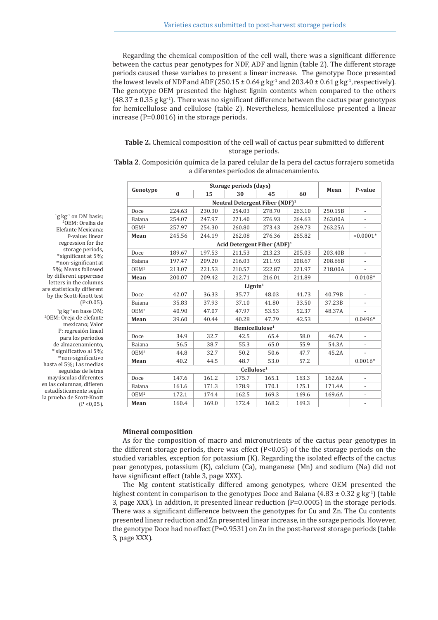Regarding the chemical composition of the cell wall, there was a significant difference between the cactus pear genotypes for NDF, ADF and lignin (table 2). The different storage periods caused these variabes to present a linear increase. The genotype Doce presented the lowest levels of NDF and ADF (250.15  $\pm$  0.64 g kg<sup>-1</sup> and 203.40  $\pm$  0.61 g kg<sup>-1</sup>, respectively). The genotype OEM presented the highest lignin contents when compared to the others  $(48.37 \pm 0.35$  g kg<sup>-1</sup>). There was no significant difference between the cactus pear genotypes for hemicellulose and cellulose (table 2). Nevertheless, hemicellulose presented a linear increase (P=0.0016) in the storage periods.

## **Table 2.** Chemical composition of the cell wall of cactus pear submitted to different storage periods.

**Tabla 2**. Composición química de la pared celular de la pera del cactus forrajero sometida a diferentes períodos de almacenamiento.

| Genotype         |          | Storage periods (days) |                                            |        |        |         |                          |
|------------------|----------|------------------------|--------------------------------------------|--------|--------|---------|--------------------------|
|                  | $\bf{0}$ | 15                     | 30                                         | 45     | 60     | Mean    | P-value                  |
|                  |          |                        | Neutral Detergent Fiber (NDF) <sup>1</sup> |        |        |         |                          |
| Doce             | 224.63   | 230.30                 | 254.03                                     | 278.70 | 263.10 | 250.15B |                          |
| Baiana           | 254.07   | 247.97                 | 271.40                                     | 276.93 | 264.63 | 263.00A |                          |
| OEM <sup>2</sup> | 257.97   | 254.30                 | 260.80                                     | 273.43 | 269.73 | 263.25A |                          |
| Mean             | 245.56   | 244.19                 | 262.08                                     | 276.36 | 265.82 |         | $< 0.0001*$              |
|                  |          |                        | Acid Detergent Fiber $(ADF)^1$             |        |        |         |                          |
| Doce             | 189.67   | 197.53                 | 211.53                                     | 213.23 | 205.03 | 203.40B | $\overline{a}$           |
| Baiana           | 197.47   | 209.20                 | 216.03                                     | 211.93 | 208.67 | 208.66B | $\overline{\phantom{a}}$ |
| OEM <sup>2</sup> | 213.07   | 221.53                 | 210.57                                     | 222.87 | 221.97 | 218.00A |                          |
| Mean             | 200.07   | 209.42                 | 212.71                                     | 216.01 | 211.89 |         | $0.0108*$                |
|                  |          |                        | Lignin <sup>1</sup>                        |        |        |         |                          |
| Doce             | 42.07    | 36.33                  | 35.77                                      | 48.03  | 41.73  | 40.79B  | $\overline{\phantom{a}}$ |
| Baiana           | 35.83    | 37.93                  | 37.10                                      | 41.80  | 33.50  | 37.23B  |                          |
| OEM <sup>2</sup> | 40.90    | 47.07                  | 47.97                                      | 53.53  | 52.37  | 48.37A  |                          |
| Mean             | 39.60    | 40.44                  | 40.28                                      | 47.79  | 42.53  |         | $0.0496*$                |
|                  |          |                        | $H$ emicellulose <sup>1</sup>              |        |        |         |                          |
| Doce             | 34.9     | 32.7                   | 42.5                                       | 65.4   | 58.0   | 46.7A   | $\overline{a}$           |
| Baiana           | 56.5     | 38.7                   | 55.3                                       | 65.0   | 55.9   | 54.3A   |                          |
| OEM <sup>2</sup> | 44.8     | 32.7                   | 50.2                                       | 50.6   | 47.7   | 45.2A   |                          |
| Mean             | 40.2     | 44.5                   | 48.7                                       | 53.0   | 57.2   |         | $0.0016*$                |
|                  |          |                        | Cellulose <sup>1</sup>                     |        |        |         |                          |
| Doce             | 147.6    | 161.2                  | 175.7                                      | 165.1  | 163.3  | 162.6A  | $\overline{\phantom{a}}$ |
| Baiana           | 161.6    | 171.3                  | 178.9                                      | 170.1  | 175.1  | 171.4A  | $\overline{\phantom{a}}$ |
| OEM <sup>2</sup> | 172.1    | 174.4                  | 162.5                                      | 169.3  | 169.6  | 169.6A  | $\overline{\phantom{0}}$ |
| Mean             | 160.4    | 169.0                  | 172.4                                      | 168.2  | 169.3  |         |                          |

<sup>1</sup>g kg<sup>-1</sup> on DM basis; 2 OEM: Orelha de Elefante Mexicana; P-value: linear regression for the storage periods, \*significant at 5%; nsnon-significant at 5%; Means followed by different uppercase letters in the columns are statistically different by the Scott-Knott test  $(P<0.05)$ .  $^{1}$ g kg<sup>-1</sup> en base DM; 2 OEM: Oreja de elefante mexicano; Valor P: regresión lineal para los períodos de almacenamiento, \* significativo al 5%; <sup>ns</sup>non-significativo hasta el 5%; Las medias seguidas de letras mayúsculas diferentes en las columnas, difieren estadísticamente según la prueba de Scott-Knott  $(P < 0.05)$ .

### **Mineral composition**

As for the composition of macro and micronutrients of the cactus pear genotypes in the different storage periods, there was effect  $[P<0.05]$  of the the storage periods on the studied variables, exception for potassium (K). Regarding the isolated effects of the cactus pear genotypes, potassium (K), calcium (Ca), manganese (Mn) and sodium (Na) did not have significant effect (table 3, page XXX).

The Mg content statistically differed among genotypes, where OEM presented the highest content in comparison to the genotypes Doce and Baiana  $(4.83 \pm 0.32 \text{ g kg}^{-1})$  (table 3, page XXX). In addition, it presented linear reduction (P=0.0005) in the storage periods. There was a significant difference between the genotypes for Cu and Zn. The Cu contents presented linear reduction and Zn presented linear increase, in the sorage periods. However, the genotype Doce had no effect (P=0.9531) on Zn in the post-harvest storage periods (table 3, page XXX).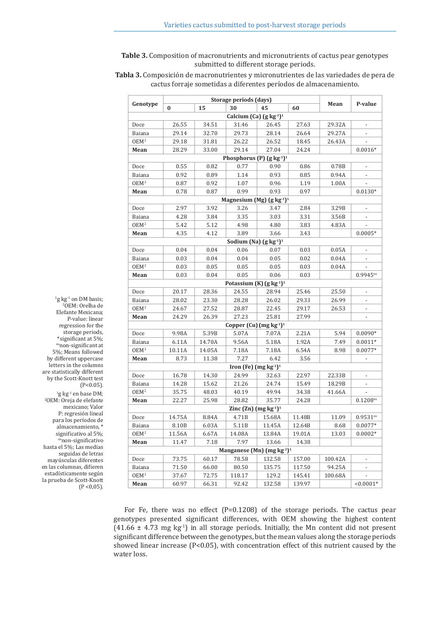**Table 3.** Composition of macronutrients and micronutrients of cactus pear genotypes submitted to different storage periods.

**Tabla 3.** Composición de macronutrientes y micronutrientes de las variedades de pera de cactus forraje sometidas a diferentes períodos de almacenamiento.

| Genotype          |        | Storage periods (days) |                                                  |        |                  |               |                          |
|-------------------|--------|------------------------|--------------------------------------------------|--------|------------------|---------------|--------------------------|
|                   | 0      | 15                     | 30                                               | 45     | 60               | Mean          | P-value                  |
|                   |        |                        | Calcium (Ca) (g kg <sup>-1</sup> ) <sup>1</sup>  |        |                  |               |                          |
| Doce              | 26.55  | 34.51                  | 31.46                                            | 26.45  | 27.63            | 29.32A        | $\overline{\phantom{a}}$ |
| Baiana            | 29.14  | 32.70                  | 29.73                                            | 28.14  | 26.64            | 29.27A        |                          |
| OEM <sup>2</sup>  | 29.18  | 31.81                  | 26.22                                            | 26.52  | 18.45            | 26.43A        |                          |
| Mean              | 28.29  | 33.00                  | 29.14                                            | 27.04  | 24.24            |               | $0.0016*$                |
|                   |        |                        | Phosphorus (P) $(g kg^{-1})^1$                   |        |                  |               |                          |
| Doce              | 0.55   | 0.82                   | 0.77                                             | 0.90   | 0.86             | 0.78B         | $\overline{\phantom{a}}$ |
| Baiana            | 0.92   | 0.89                   | 1.14                                             | 0.93   | 0.85             | 0.94A         |                          |
| OEM <sup>2</sup>  | 0.87   | 0.92                   | 1.07                                             | 0.96   | 1.19             | 1.00A         |                          |
| Mean              | 0.78   | 0.87                   | 0.99                                             | 0.93   | 0.97             |               | $0.0130*$                |
|                   |        |                        | Magnesium (Mg) $(g kg^{-1})^1$                   |        |                  |               |                          |
| Doce              | 2.97   | 3.92                   | 3.26                                             | 3.47   | 2.84             | 3.29B         |                          |
| Baiana            | 4.28   | 3.84                   | 3.35                                             | 3.03   | 3.31             | 3.56B         |                          |
| $OEM^2$           | 5.42   | 5.12                   | 4.98                                             | 4.80   | 3.83             | 4.83A         |                          |
| Mean              | 4.35   | 4.12                   | 3.89                                             | 3.66   | 3.43             |               | $0.0005*$                |
|                   |        |                        | Sodium (Na) (g kg <sup>-1</sup> ) <sup>1</sup>   |        |                  |               |                          |
| Doce              | 0.04   | 0.04                   | 0.06                                             | 0.07   | 0.03             | 0.05A         | $\overline{\phantom{a}}$ |
| Baiana            | 0.03   | 0.04                   | 0.04                                             | 0.05   | 0.02             | 0.04A         |                          |
| OEM <sup>2</sup>  | 0.03   | 0.05                   | 0.05                                             | 0.05   | 0.03             | 0.04A         |                          |
| Mean              | 0.03   | 0.04                   | 0.05                                             | 0.06   | 0.03             |               | $0.9945^{ns}$            |
|                   |        |                        | Potassium (K) (g kg <sup>-1</sup> ) <sup>1</sup> |        |                  |               |                          |
| Doce              | 20.17  | 28.36                  | 24.55                                            | 28.94  | 25.46            | 25.50         |                          |
| Baiana            | 28.02  | 23.30                  | 28.28                                            | 26.02  | 29.33            | 26.99         |                          |
| OEM <sup>2</sup>  | 24.67  | 27.52                  | 28.87                                            | 22.45  | 29.17            | 26.53         | $\overline{\phantom{a}}$ |
| Mean              | 24.29  | 26.39                  | 27.23                                            | 25.81  | 27.99            |               | $\overline{\phantom{a}}$ |
|                   |        |                        | Copper (Cu) $(mg kg-1)-1$                        |        |                  |               |                          |
| Doce              | 9.98A  | 5.39B                  | 5.07A                                            | 7.07A  | 2.21A            | 5.94          | $0.0090*$                |
| Baiana            | 6.11A  | 14.70A                 | 9.56A                                            | 5.18A  | 1.92A            | 7.49          | $0.0011*$                |
| OEM <sup>2</sup>  | 10.11A | 14.05A                 | 7.18A                                            | 7.18A  | 6.54A            | 8.98          | $0.0077*$                |
| Mean              | 8.73   | 11.38                  | 7.27                                             | 6.42   | 3.56             |               |                          |
|                   |        |                        | Iron (Fe) $(mg kg-1)-1$                          |        |                  |               |                          |
| Doce              | 16.78  | 14.30                  | 24.99                                            | 32.63  | 22.97            | 22.33B        |                          |
| Baiana            | 14.28  | 15.62                  | 21.26                                            | 24.74  | 15.49            | 18.29B        | $\overline{\phantom{a}}$ |
| OEM <sup>2</sup>  | 35.75  | 48.03                  | 40.19                                            | 49.94  | 34.38            | 41.66A        | $\overline{\phantom{a}}$ |
| Mean              | 22.27  | 25.98                  | 28.82                                            | 35.77  | 24.28            |               | $0.1208^{ns}$            |
|                   |        |                        | Zinc (Zn) (mg kg <sup>-1</sup> ) <sup>1</sup>    |        |                  |               |                          |
| Doce              | 14.75A | 8.84A                  | 4.71B                                            | 15.68A | 11.48B           | 11.09         | $0.9531$ <sup>ns</sup>   |
|                   | 8.10B  | 6.03A                  | 5.11B                                            | 11.45A | 12.64B           |               |                          |
| Baiana<br>$OEM^2$ | 11.56A | 6.67A                  | 14.08A                                           | 13.84A | 19.01A           | 8.68<br>13.03 | $0.0077*$<br>$0.0002*$   |
| Mean              | 11.47  | 7.18                   | 7.97                                             | 13.66  | 14.38            |               |                          |
|                   |        |                        | Manganese (Mn) (mg $kg^{-1}$ ) <sup>1</sup>      |        |                  |               |                          |
|                   |        |                        | 78.58                                            |        |                  | 100.42A       |                          |
| Doce              | 73.75  | 60.17                  |                                                  | 132.58 | 157.00<br>117.50 |               | $\overline{\phantom{a}}$ |
| Baiana            | 71.50  | 66.00                  | 80.50                                            | 135.75 |                  | 94.25A        |                          |
| OEM <sup>2</sup>  | 37.67  | 72.75                  | 118.17                                           | 129.2  | 145.41           | 100.68A       |                          |
| Mean              | 60.97  | 66.31                  | 92.42                                            | 132.58 | 139.97           |               | $< 0.0001*$              |

For Fe, there was no effect (P=0.1208) of the storage periods. The cactus pear genotypes presented significant differences, with OEM showing the highest content  $(41.66 \pm 4.73 \text{ mg kg}^{-1})$  in all storage periods. Initially, the Mn content did not present significant difference between the genotypes, but the mean values along the storage periods showed linear increase (P<0.05), with concentration effect of this nutrient caused by the water loss.

Elefante Mexicana; P-value: linear regression for the storage periods, \*significant at 5%; <sup>ns</sup>non-significant at 5%; Means followed by different uppercase letters in the columns are statistically different by the Scott-Knott test  $(P<0.05)$ .  $^{1}$ g kg $^{1}$  en base DM; 2 OEM: Oreja de elefante mexicano; Valor P: regresión lineal para los períodos de almacenamiento, \* significativo al 5%;  $n$ snon-significativo hasta el 5%; Las medias seguidas de letras mayúsculas diferentes en las columnas, difieren estadísticamente según la prueba de Scott-Knott  $(P < 0.05)$ .

 $\frac{1}{2}$ g kg<sup>-1</sup> on DM basis; 2 OEM: Orelha de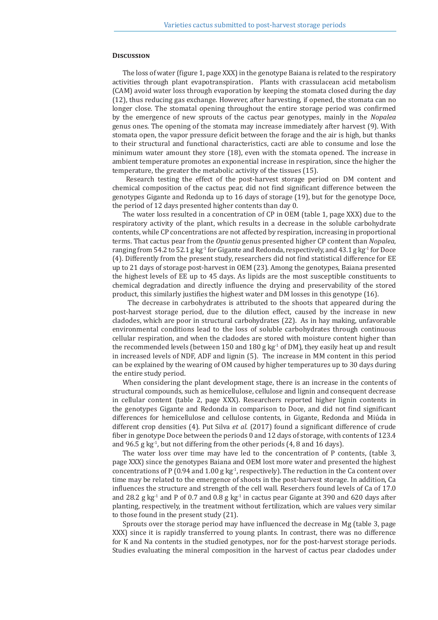#### **Discussion**

The loss of water (figure 1, page XXX) in the genotype Baiana is related to the respiratory activities through plant evapotranspiration. Plants with crassulacean acid metabolism (CAM) avoid water loss through evaporation by keeping the stomata closed during the day (12), thus reducing gas exchange. However, after harvesting, if opened, the stomata can no longer close. The stomatal opening throughout the entire storage period was confirmed by the emergence of new sprouts of the cactus pear genotypes, mainly in the *Nopalea* genus ones. The opening of the stomata may increase immediately after harvest (9). With stomata open, the vapor pressure deficit between the forage and the air is high, but thanks to their structural and functional characteristics, cacti are able to consume and lose the minimum water amount they store (18), even with the stomata opened. The increase in ambient temperature promotes an exponential increase in respiration, since the higher the temperature, the greater the metabolic activity of the tissues (15).

 Research testing the effect of the post-harvest storage period on DM content and chemical composition of the cactus pear, did not find significant difference between the genotypes Gigante and Redonda up to 16 days of storage (19), but for the genotype Doce, the period of 12 days presented higher contents than day 0.

The water loss resulted in a concentration of CP in OEM (table 1, page XXX) due to the respiratory activity of the plant, which results in a decrease in the soluble carbohydrate contents, while CP concentrations are not affected by respiration, increasing in proportional terms. That cactus pear from the *Opuntia* genus presented higher CP content than *Nopalea*, ranging from 54.2 to 52.1 g kg<sup>-1</sup> for Gigante and Redonda, respectively, and 43.1 g kg<sup>-1</sup> for Doce (4). Differently from the present study, researchers did not find statistical difference for EE up to 21 days of storage post-harvest in OEM (23). Among the genotypes, Baiana presented the highest levels of EE up to 45 days. As lipids are the most susceptible constituents to chemical degradation and directly influence the drying and preservability of the stored product, this similarly justifies the highest water and DM losses in this genotype (16).

 The decrease in carbohydrates is attributed to the shoots that appeared during the post-harvest storage period, due to the dilution effect, caused by the increase in new cladodes, which are poor in structural carbohydrates (22). As in hay making, unfavorable environmental conditions lead to the loss of soluble carbohydrates through continuous cellular respiration, and when the cladodes are stored with moisture content higher than the recommended levels (between 150 and 180 g kg<sup>-1</sup> of DM), they easily heat up and result in increased levels of NDF, ADF and lignin (5). The increase in MM content in this period can be explained by the wearing of OM caused by higher temperatures up to 30 days during the entire study period.

When considering the plant development stage, there is an increase in the contents of structural compounds, such as hemicellulose, cellulose and lignin and consequent decrease in cellular content (table 2, page XXX). Researchers reported higher lignin contents in the genotypes Gigante and Redonda in comparison to Doce, and did not find significant differences for hemicellulose and cellulose contents, in Gigante, Redonda and Miúda in different crop densities (4). Put Silva *et al.* (2017) found a significant difference of crude fiber in genotype Doce between the periods 0 and 12 days of storage, with contents of 123.4 and 96.5 g  $kg<sup>-1</sup>$ , but not differing from the other periods (4, 8 and 16 days).

The water loss over time may have led to the concentration of P contents, (table 3, page XXX) since the genotypes Baiana and OEM lost more water and presented the highest concentrations of P (0.94 and 1.00 g  $kg<sup>-1</sup>$ , respectively). The reduction in the Ca content over time may be related to the emergence of shoots in the post-harvest storage. In addition, Ca influences the structure and strength of the cell wall. Reserchers found levels of Ca of 17.0 and 28.2 g kg<sup>-1</sup> and P of 0.7 and 0.8 g kg<sup>-1</sup> in cactus pear Gigante at 390 and 620 days after planting, respectively, in the treatment without fertilization, which are values very similar to those found in the present study (21).

Sprouts over the storage period may have influenced the decrease in Mg (table 3, page XXX) since it is rapidly transferred to young plants. In contrast, there was no difference for K and Na contents in the studied genotypes, nor for the post-harvest storage periods. Studies evaluating the mineral composition in the harvest of cactus pear cladodes under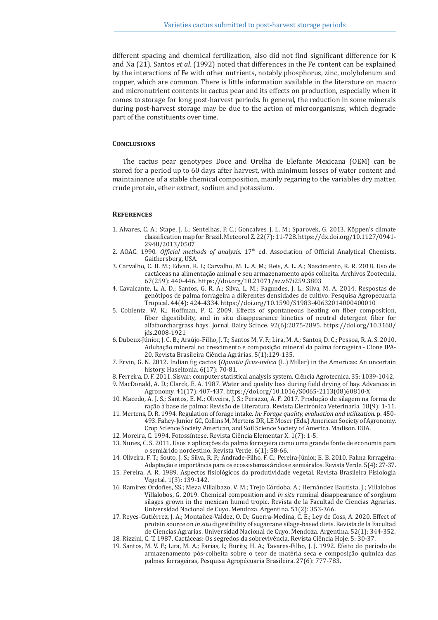different spacing and chemical fertilization, also did not find significant difference for K and Na (21). Santos *et al.* (1992) noted that differences in the Fe content can be explained by the interactions of Fe with other nutrients, notably phosphorus, zinc, molybdenum and copper, which are common. There is little information available in the literature on macro and micronutrient contents in cactus pear and its effects on production, especially when it comes to storage for long post-harvest periods. In general, the reduction in some minerals during post-harvest storage may be due to the action of microorganisms, which degrade part of the constituents over time.

#### **Conclusions**

The cactus pear genotypes Doce and Orelha de Elefante Mexicana (OEM) can be stored for a period up to 60 days after harvest, with minimum losses of water content and maintainance of a stable chemical composition, mainly regaring to the variables dry matter, crude protein, ether extract, sodium and potassium.

#### **References**

- 1. Alvares, C. A.; Stape, J. L.; Sentelhas, P. C.; Goncalves, J. L. M.; Sparovek, G. 2013. Köppen's climate classification map for Brazil. Meteorol Z. 22(7): 11-728. https://dx.doi.org/10.1127/0941- 2948/2013/0507
- 2. AOAC. 1990. *Official methods of analysis*. 17th ed. Association of Official Analytical Chemists. Gaithersburg, USA.
- 3. Carvalho, C. B. M.; Edvan, R. L; Carvalho, M. L. A. M.; Reis, A. L. A.; Nascimento, R. R. 2018. Uso de cactáceas na alimentação animal e seu armazenamento após colheita. Archivos Zootecnia. 67(259): 440-446. https://doi.org/10.21071/az.v67i259.3803
- 4. Cavalcante, L. A. D.; Santos, G. R. A.; Silva, L. M.; Fagundes, J. L.; Silva, M. A. 2014. Respostas de genótipos de palma forrageira a diferentes densidades de cultivo. Pesquisa Agropecuaria Tropical. 44(4): 424-4334. https://doi.org/10.1590/S1983-40632014000400010
- 5. Coblentz, W. K.; Hoffman, P. C. 2009. Effects of spontaneous heating on fiber composition, fiber digestibility, and in situ disappearance kinetics of neutral detergent fiber for alfafaorchargrass hays. Jornal Dairy Scince. 92(6):2875-2895. https://doi.org/10.3168/ jds.2008-1921
- 6. Dubeux-Júnior, J. C. B.; Araújo-Filho, J. T.; Santos M. V. F.; Lira, M. A.; Santos, D. C.; Pessoa, R. A. S. 2010. Adubação mineral no crescimento e composição mineral da palma forrageira - Clone IPA-20. Revista Brasileira Ciência Agrárias. 5(1):129-135.
- 7. Ervin, G. N. 2012. Indian fig cactos (*Opuntia fícus-indica* (L.) Miller) in the Americas: An uncertain history. Haseltonia. 6(17): 70-81.
- 8. Ferreira, D. F. 2011. Sisvar: computer statistical analysis system. Ciência Agrotecnica. 35: 1039-1042.
- 9. MacDonald, A. D.; Clarck, E. A. 1987. Water and quality loss during field drying of hay. Advances in Agronomy. 41(17): 407-437. https://doi.org/10.1016/S0065-2113(08)60810-X
- 10. Macedo, A. J. S.; Santos, E. M.; Oliveira, J. S.; Perazzo, A. F. 2017. Produção de silagem na forma de ração à base de palma: Revisão de Literatura*.* Revista Electrónica Veterinaria. 18(9): 1-11.
- 11. Mertens, D. R. 1994. Regulation of forage intake. *In: Forage quality, evaluation and utilization.* p. 450- 493. Fahey-Junior GC, Collins M, Mertens DR, LE Moser (Eds.) American Society of Agronomy.
	- Crop Science Society American, and Soil Science Society of America. Madison. EUA.
- 12. Moreira, C. 1994. Fotossíntese. Revista Ciência Elementar X*.* 1(7): 1-5.
- 13. Nunes, C. S. 2011. Usos e aplicações da palma forrageira como uma grande fonte de economia para o semiárido nordestino. Revista Verde. 6(1): 58-66.
- 14. Oliveira, F. T.; Souto, J. S.; Silva, R. P.; Andrade-Filho, F. C.; Pereira-Júnior, E. B. 2010. Palma forrageira: Adaptação e importância para os ecossistemas áridos e semiáridos. Revista Verde. 5(4): 27-37.
- 15. Pereira, A. R. 1989. Aspectos fisiológicos da produtividade vegetal. Revista Brasileira Fisiologia Vegetal. 1(3): 139-142.
- 16. Ramírez Ordoñes, SS.; Meza Villalbazo, V. M.; Trejo Córdoba, A.; Hernández Bautista, J.; Villalobos Villalobos, G. 2019. Chemical composition and *in situ* ruminal disappearance of sorghum silages grown in the mexican humid tropic. Revista de la Facultad de Ciencias Agrarias. Universidad Nacional de Cuyo. Mendoza. Argentina. 51(2): 353-366.
- 17. Reyes-Gutiérrez, J. A.; Montañez-Valdez, O. D.; Guerra-Medina, C. E.; Ley de Coss, A. 2020. Effect of protein source on *in situ* digestibility of sugarcane silage-based diets. Revista de la Facultad de Ciencias Agrarias. Universidad Nacional de Cuyo. Mendoza. Argentina. 52(1): 344-352.
- 18. Rizzini, C. T. 1987. Cactáceas: Os segredos da sobrevivência. Revista Ciência Hoje. 5: 30-37.
- 19. Santos, M. V. F.; Lira, M. A.; Farias, I.; Burity, H. A.; Tavares-Filho, J. J. 1992. Efeito do período de armazenamento pós-colheita sobre o teor de matéria seca e composição química das palmas forrageiras, Pesquisa Agropécuaria Brasileira. 27(6): 777-783.